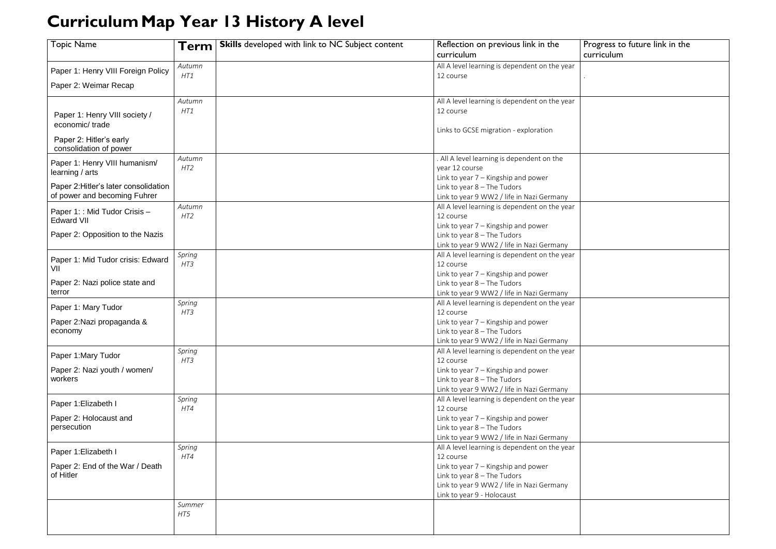## **CurriculumMap Year 13 History A level**

## Progress to future link in the curriculum

| <b>Topic Name</b>                               | Term            | <b>Skills</b> developed with link to NC Subject content | Reflection on previous link in the                                     |  |
|-------------------------------------------------|-----------------|---------------------------------------------------------|------------------------------------------------------------------------|--|
|                                                 |                 |                                                         | curriculum                                                             |  |
| Paper 1: Henry VIII Foreign Policy              | Autumn          |                                                         | All A level learning is dependent on the year                          |  |
|                                                 | HT1             |                                                         | 12 course                                                              |  |
| Paper 2: Weimar Recap                           |                 |                                                         |                                                                        |  |
|                                                 | Autumn          |                                                         | All A level learning is dependent on the year                          |  |
|                                                 | HT1             |                                                         | 12 course                                                              |  |
| Paper 1: Henry VIII society /<br>economic/trade |                 |                                                         |                                                                        |  |
|                                                 |                 |                                                         | Links to GCSE migration - exploration                                  |  |
| Paper 2: Hitler's early                         |                 |                                                         |                                                                        |  |
| consolidation of power                          |                 |                                                         |                                                                        |  |
| Paper 1: Henry VIII humanism/                   | Autumn          |                                                         | . All A level learning is dependent on the                             |  |
| learning / arts                                 | HT <sub>2</sub> |                                                         | year 12 course                                                         |  |
| Paper 2: Hitler's later consolidation           |                 |                                                         | Link to year 7 - Kingship and power<br>Link to year $8$ – The Tudors   |  |
| of power and becoming Fuhrer                    |                 |                                                         | Link to year 9 WW2 / life in Nazi Germany                              |  |
|                                                 | Autumn          |                                                         | All A level learning is dependent on the year                          |  |
| Paper 1: : Mid Tudor Crisis -                   | HT2             |                                                         | 12 course                                                              |  |
| <b>Edward VII</b>                               |                 |                                                         | Link to year $7 -$ Kingship and power                                  |  |
| Paper 2: Opposition to the Nazis                |                 |                                                         | Link to year $8$ – The Tudors                                          |  |
|                                                 |                 |                                                         | Link to year 9 WW2 / life in Nazi Germany                              |  |
| Paper 1: Mid Tudor crisis: Edward               | Spring          |                                                         | All A level learning is dependent on the year                          |  |
| VII                                             | HT3             |                                                         | 12 course                                                              |  |
|                                                 |                 |                                                         | Link to year $7 -$ Kingship and power                                  |  |
| Paper 2: Nazi police state and<br>terror        |                 |                                                         | Link to year $8$ – The Tudors                                          |  |
|                                                 |                 |                                                         | Link to year 9 WW2 / life in Nazi Germany                              |  |
| Paper 1: Mary Tudor                             | Spring<br>HT3   |                                                         | All A level learning is dependent on the year<br>12 course             |  |
| Paper 2: Nazi propaganda &                      |                 |                                                         | Link to year $7 -$ Kingship and power                                  |  |
| economy                                         |                 |                                                         | Link to year $8$ – The Tudors                                          |  |
|                                                 |                 |                                                         | Link to year 9 WW2 / life in Nazi Germany                              |  |
|                                                 | Spring          |                                                         | All A level learning is dependent on the year                          |  |
| Paper 1: Mary Tudor                             | HT3             |                                                         | 12 course                                                              |  |
| Paper 2: Nazi youth / women/                    |                 |                                                         | Link to year 7 - Kingship and power                                    |  |
| workers                                         |                 |                                                         | Link to year $8$ – The Tudors                                          |  |
|                                                 |                 |                                                         | Link to year 9 WW2 / life in Nazi Germany                              |  |
| Paper 1: Elizabeth I                            | Spring          |                                                         | All A level learning is dependent on the year                          |  |
|                                                 | HT4             |                                                         | 12 course                                                              |  |
| Paper 2: Holocaust and<br>persecution           |                 |                                                         | Link to year $7 -$ Kingship and power<br>Link to year $8$ – The Tudors |  |
|                                                 |                 |                                                         | Link to year 9 WW2 / life in Nazi Germany                              |  |
|                                                 | Spring          |                                                         | All A level learning is dependent on the year                          |  |
| Paper 1: Elizabeth I                            | HT4             |                                                         | 12 course                                                              |  |
| Paper 2: End of the War / Death                 |                 |                                                         | Link to year $7 -$ Kingship and power                                  |  |
| of Hitler                                       |                 |                                                         | Link to year $8$ – The Tudors                                          |  |
|                                                 |                 |                                                         | Link to year 9 WW2 / life in Nazi Germany                              |  |
|                                                 |                 |                                                         | Link to year 9 - Holocaust                                             |  |
|                                                 | Summer          |                                                         |                                                                        |  |
|                                                 | HT5             |                                                         |                                                                        |  |
|                                                 |                 |                                                         |                                                                        |  |